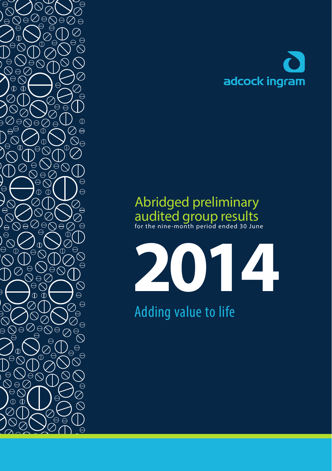

# Abridged preliminary audited group results for the nine -month period ended 30 June

**2014**

Adding value to life

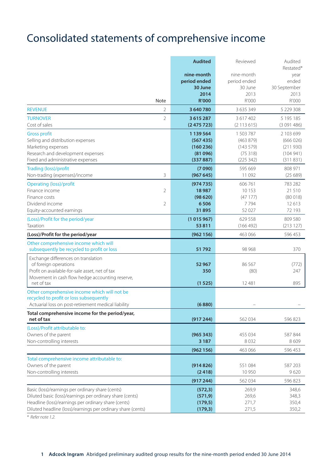# Consolidated statements of comprehensive income

|                                                                                                   | <b>Audited</b>         | Reviewed               | Audited<br>Restated*   |
|---------------------------------------------------------------------------------------------------|------------------------|------------------------|------------------------|
|                                                                                                   | nine-month             | nine-month             | year                   |
|                                                                                                   | period ended           | period ended           | ended                  |
|                                                                                                   | 30 June                | 30 June                | 30 September           |
|                                                                                                   | 2014                   | 2013                   | 2013                   |
| Note                                                                                              | <b>R'000</b>           | R'000                  | R'000                  |
| $\overline{2}$<br><b>REVENUE</b>                                                                  | 3 640 780              | 3 635 349              | 5 229 308              |
| $\overline{2}$<br><b>TURNOVER</b><br>Cost of sales                                                | 3 615 287<br>(2475723) | 3 617 402<br>(2113615) | 5 195 185<br>(3091486) |
| <b>Gross profit</b>                                                                               | 1 139 564              | 1 503 787              | 2 103 699              |
| Selling and distribution expenses                                                                 | (567435)               | (463 879)              | (666026)               |
| Marketing expenses                                                                                | (160 236)              | (143579)               | (211930)               |
| Research and development expenses                                                                 | (81096)                | (75318)                | (104941)               |
| Fixed and administrative expenses                                                                 | (337887)               | (225 342)              | (311831)               |
| <b>Trading (loss)/profit</b>                                                                      | (7090)                 | 595 669                | 808 971                |
| 3<br>Non-trading (expenses)/income                                                                | (967645)               | 11 0 9 2               | (25689)                |
| Operating (loss)/profit                                                                           | (974735)               | 606 761                | 783 282                |
| Finance income<br>$\overline{2}$                                                                  | 18987                  | 10 153                 | 21 510                 |
| Finance costs                                                                                     | (98620)                | (47177)                | (80018)                |
| Dividend income<br>$\overline{2}$<br>Equity-accounted earnings                                    | 6506<br>31895          | 7794<br>52 027         | 12613<br>72 193        |
|                                                                                                   |                        |                        |                        |
| (Loss)/Profit for the period/year<br>Taxation                                                     | (1015967)<br>53811     | 629 558<br>(166 492)   | 809 580<br>(213127)    |
|                                                                                                   |                        |                        |                        |
| (Loss)/Profit for the period/year                                                                 | (962 156)              | 463 066                | 596 453                |
| Other comprehensive income which will<br>subsequently be recycled to profit or loss               | 51792                  | 98 968                 | 370                    |
| Exchange differences on translation                                                               |                        |                        |                        |
| of foreign operations                                                                             | 52 967<br>350          | 86 567                 | (772)<br>247           |
| Profit on available-for-sale asset, net of tax<br>Movement in cash flow hedge accounting reserve, |                        | (80)                   |                        |
| net of tax                                                                                        | (1525)                 | 12481                  | 895                    |
| Other comprehensive income which will not be                                                      |                        |                        |                        |
| recycled to profit or loss subsequently                                                           |                        |                        |                        |
| Actuarial loss on post-retirement medical liability                                               | (6880)                 |                        |                        |
| Total comprehensive income for the period/year,<br>net of tax                                     | (917244)               | 562 034                | 596 823                |
| (Loss)/Profit attributable to:                                                                    |                        |                        |                        |
| Owners of the parent                                                                              | (965343)               | 455 034                | 587844                 |
| Non-controlling interests                                                                         | 3 1 8 7                | 8032                   | 8609                   |
|                                                                                                   | (962 156)              | 463 066                | 596 453                |
| Total comprehensive income attributable to:                                                       |                        |                        |                        |
| Owners of the parent                                                                              | (914826)               | 551084                 | 587 203                |
| Non-controlling interests                                                                         | (2418)                 | 10 950                 | 9620                   |
|                                                                                                   | (917244)               | 562 034                | 596823                 |
| Basic (loss)/earnings per ordinary share (cents)                                                  | (572, 3)               | 269,9                  | 348,6                  |
| Diluted basic (loss)/earnings per ordinary share (cents)                                          | (571, 9)               | 269,6                  | 348,3                  |
| Headline (loss)/earnings per ordinary share (cents)                                               | (179, 5)               | 271,7                  | 350,4                  |
| Diluted headline (loss)/earnings per ordinary share (cents)                                       | (179, 3)               | 271,5                  | 350,2                  |

\* Refer note 1.2.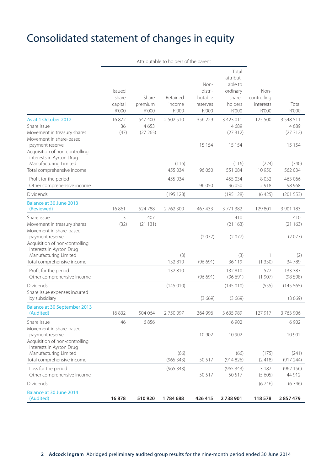### Consolidated statement of changes in equity

Attributable to holders of the parent Total attribut-Non- able to Issued distri- ordinary Nonshare Share Retained butable share- controlling capital premium income reserves holders interests Total R'000 R'000 R'000 R'000 R'000 R'000 R'000 As at 1 October 2012 16 872 547 400 2 502 510 356 229 3 423 011 125 500 3 548 511 Share issue 36 36 4 653 4 689 4 689 4 689 4 689 4 689 4 689 4 689 5 4 689 5 689 5 689 5 689 5 689 5 689 5 689 5 689 5 689 5 689 5 689 5 689 5 689 5 689 5 689 5 689 5 689 5 689 5 689 5 689 5 689 5 689 5 689 5 689 5 689 5 68 Movement in treasury shares (47) (27 265) (27 312) (27 312) Movement in share-based payment reserve 15 154 15 154 15 154 15 154 15 154 15 154 15 154 15 154 15 154 15 154 15 154 15 154 15 154 15 154 15 154 15 154 15 154 15 154 15 154 15 154 15 154 15 154 15 154 15 154 15 154 15 154 15 154 15 154 15 154 15 Acquisition of non-controlling interests in Ayrton Drug Manufacturing Limited (116) (116) (224) (340) Total comprehensive income 455 034 96 050 551 084 10 950 562 034 Profit for the period and the period and the period and the set of the 455 034 455 034 463 066 Other comprehensive income 96 050 96 050 2 918 98 968 Dividends (195 128) (195 128) (6 425) (201 553) Balance at 30 June 2013 (Reviewed) 16 861 524 788 2 762 300 467 433 3 771 382 129 801 3 901 183 Share issue 3 407 410 410 Movement in treasury shares (32) (21 131) (21 163) (21 163) Movement in share-based payment reserve (2 077) (2 077) (2 077) Acquisition of non-controlling interests in Ayrton Drug Manufacturing Limited (3) (3) 1 (2) Total comprehensive income 132 810 (96 691) 36 119 (1 330) 34 789 Profit for the period 132 810 132 810 577 133 387 Other comprehensive income (96 691) (96 691) (1 907) (98 598) Dividends (145 010) (145 010) (555) (145 565) Share issue expenses incurred<br>by subsidiary by subsidiary (3 669) (3 669) (3 669) Balance at 30 September 2013 (Audited) 16 832 504 064 2 750 097 364 996 3 635 989 127 917 3 763 906 Share issue 6902 6 902 6 902 6 902 6 902 6 902 6 902 6 902 6 902 6 902 6 902 6 902 6 902 6 902 6 902 6 902 6 902 6 902 6 902 6 902 6 902 6 902 6 902 6 902 6 902 6 902 6 902 6 902 6 902 6 902 6 902 6 902 6 902 6 902 6 902 6 Movement in share-based<br>navment reserve payment reserve 10 902 10 902 10 902 Acquisition of non-controlling interests in Ayrton Drug Manufacturing Limited (66) (66) (175) (241) Total comprehensive income (965 343) 50 517 (914 826) (2 418) (917 244) Loss for the period (965 343) (965 343) 3 187 (962 156) Other comprehensive income 50 517 50 517 (5 605) 44 912 Dividends (6 746) (6 746) Balance at 30 June 2014 (Audited) **16 878 510 920 1 784 688 426 415 2 738 901 118 578 2 857 479**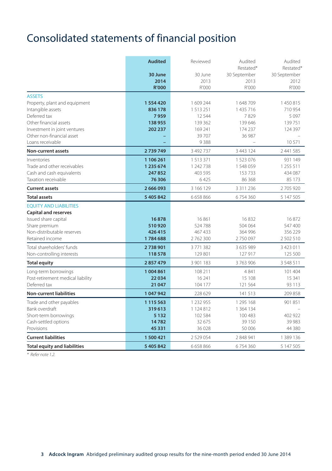# Consolidated statements of financial position

|                                     | <b>Audited</b> | Reviewed      | Audited<br>Restated* | Audited                   |
|-------------------------------------|----------------|---------------|----------------------|---------------------------|
|                                     | 30 June        | 30 June       | 30 September         | Restated*<br>30 September |
|                                     | 2014           | 2013          | 2013                 | 2012                      |
|                                     | <b>R'000</b>   | R'000         | R'000                | R'000                     |
| <b>ASSETS</b>                       |                |               |                      |                           |
| Property, plant and equipment       | 1554420        | 1 609 244     | 1648709              | 1450815                   |
| Intangible assets                   | 836 178        | 1513251       | 1 435 716            | 710 954                   |
| Deferred tax                        | 7959           | 12 5 4 4      | 7829                 | 5 0 9 7                   |
| Other financial assets              | 138955         | 139 362       | 139 646              | 139751                    |
| Investment in joint ventures        | 202 237        | 169 241       | 174 237              | 124 397                   |
| Other non-financial asset           |                | 39707         | 36 987               |                           |
| Loans receivable                    |                | 9388          |                      | 10571                     |
| Non-current assets                  | 2739749        | 3 492 737     | 3 443 124            | 2 441 585                 |
| Inventories                         | 1 106 261      | 1 5 1 3 3 7 1 | 1 523 076            | 931 149                   |
| Trade and other receivables         | 1 235 674      | 1 242 738     | 1548059              | 1 255 511                 |
| Cash and cash equivalents           | 247852         | 403 595       | 153 733              | 434 087                   |
| Taxation receivable                 | 76306          | 6425          | 86 368               | 85 173                    |
| <b>Current assets</b>               | 2 666 093      | 3 166 129     | 3 3 1 1 2 3 6        | 2705920                   |
| <b>Total assets</b>                 | 5 405 842      | 6 658 866     | 6754360              | 5 147 505                 |
| <b>EOUITY AND LIABILITIES</b>       |                |               |                      |                           |
| <b>Capital and reserves</b>         |                |               |                      |                           |
| Issued share capital                | 16878          | 16861         | 16832                | 16872                     |
| Share premium                       | 510920         | 524788        | 504 064              | 547 400                   |
| Non-distributable reserves          | 426415         | 467 433       | 364 996              | 356 229                   |
| Retained income                     | 1784688        | 2762300       | 2750097              | 2502510                   |
| Total shareholders' funds           | 2738901        | 3771382       | 3 635 989            | 3 4 2 3 0 1 1             |
| Non-controlling interests           | 118578         | 129 801       | 127 917              | 125 500                   |
| <b>Total equity</b>                 | 2857479        | 3 901 183     | 3763906              | 3 5 4 8 5 1 1             |
| Long-term borrowings                | 1004861        | 108 211       | 4 8 4 1              | 101 404                   |
| Post-retirement medical liability   | 22034          | 16 241        | 15 108               | 15 341                    |
| Deferred tax                        | 21 047         | 104 177       | 121 564              | 93 113                    |
| <b>Non-current liabilities</b>      | 1047942        | 228 629       | 141 513              | 209 858                   |
| Trade and other payables            | 1 1 1 5 5 6 3  | 1 232 955     | 1 295 168            | 901 851                   |
| Bank overdraft                      | 319613         | 1 124 812     | 1 364 1 34           |                           |
| Short-term borrowings               | 5 1 3 2        | 102 584       | 100 483              | 402 922                   |
| Cash-settled options                | 14782          | 32 675        | 39 150               | 39 983                    |
| Provisions                          | 45 3 31        | 36 0 28       | 50 006               | 44 380                    |
| <b>Current liabilities</b>          | 1500421        | 2 5 2 9 0 5 4 | 2 848 941            | 1 389 136                 |
| <b>Total equity and liabilities</b> | 5 405 842      | 6 658 866     | 6754360              | 5 147 505                 |

\* Refer note 1.2.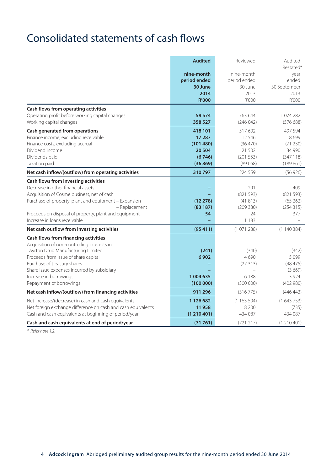### Consolidated statements of cash flows

|                                                              | <b>Audited</b> | Reviewed     | Audited<br>Restated* |
|--------------------------------------------------------------|----------------|--------------|----------------------|
|                                                              | nine-month     | nine-month   | year                 |
|                                                              | period ended   | period ended | ended                |
|                                                              | 30 June        | 30 June      | 30 September         |
|                                                              | 2014           | 2013         | 2013                 |
|                                                              | <b>R'000</b>   | R'000        | R'000                |
| Cash flows from operating activities                         |                |              |                      |
| Operating profit before working capital changes              | 59 574         | 763 644      | 1074282              |
| Working capital changes                                      | 358 527        | (246042)     | (57668)              |
| Cash generated from operations                               | 418 101        | 517602       | 497 594              |
| Finance income, excluding receivable                         | 17 287         | 12 5 4 6     | 18 699               |
| Finance costs, excluding accrual                             | (101480)       | (36 470)     | (71 230)             |
| Dividend income                                              | 20 504         | 21 502       | 34 990               |
| Dividends paid                                               | (6746)         | (201553)     | (347118)             |
| Taxation paid                                                | (36869)        | (89068)      | (189861)             |
| Net cash inflow/(outflow) from operating activities          | 310797         | 224 559      | (56926)              |
| Cash flows from investing activities                         |                |              |                      |
| Decrease in other financial assets                           |                | 291          | 409                  |
| Acquisition of Cosme business, net of cash                   |                | (821593)     | (821593)             |
| Purchase of property, plant and equipment - Expansion        | (12278)        | (41813)      | (65262)              |
| - Replacement                                                | (83187)        | (209380)     | (254315)             |
| Proceeds on disposal of property, plant and equipment        | 54             | 24           | 377                  |
| Increase in loans receivable                                 |                | 1183         |                      |
| Net cash outflow from investing activities                   | (95411)        | (1071288)    | (1140384)            |
| Cash flows from financing activities                         |                |              |                      |
| Acquisition of non-controlling interests in                  |                |              |                      |
| Ayrton Drug Manufacturing Limited                            | (241)          | (340)        | (342)                |
| Proceeds from issue of share capital                         | 6902           | 4690         | 5099                 |
| Purchase of treasury shares                                  |                | (27313)      | (48475)              |
| Share issue expenses incurred by subsidiary                  |                |              | (3669)               |
| Increase in borrowings                                       | 1 004 635      | 6 1 8 8      | 3 9 2 4              |
| Repayment of borrowings                                      | (100000)       | (300000)     | (402980)             |
| Net cash inflow/(outflow) from financing activities          | 911 296        | (316775)     | (446443)             |
| Net increase/(decrease) in cash and cash equivalents         | 1 126 682      | (1163504)    | (1643753)            |
| Net foreign exchange difference on cash and cash equivalents | 11958          | 8 2 0 0      | (735)                |
| Cash and cash equivalents at beginning of period/year        | (1210401)      | 434 087      | 434 087              |
| Cash and cash equivalents at end of period/year              | (71761)        | (721 217)    | (1210401)            |

\* Refer note 1.2.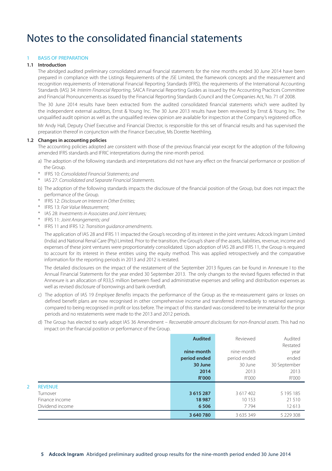### Notes to the consolidated financial statements

#### **BASIS OF PREPARATION**

#### **1.1 Introduction**

 The abridged audited preliminary consolidated annual financial statements for the nine months ended 30 June 2014 have been prepared in compliance with the Listings Requirements of the JSE Limited, the framework concepts and the measurement and recognition requirements of International Financial Reporting Standards (IFRS), the requirements of the International Accounting Standards (IAS) 34: Interim Financial Reporting, SAICA Financial Reporting Guides as issued by the Accounting Practices Committee and Financial Pronouncements as issued by the Financial Reporting Standards Council and the Companies Act, No. 71 of 2008.

 The 30 June 2014 results have been extracted from the audited consolidated financial statements which were audited by the independent external auditors, Ernst & Young Inc. The 30 June 2013 results have been reviewed by Ernst & Young Inc. The unqualified audit opinion as well as the unqualified review opinion are available for inspection at the Company's registered office.

 Mr Andy Hall, Deputy Chief Executive and Financial Director, is responsible for this set of financial results and has supervised the preparation thereof in conjunction with the Finance Executive, Ms Dorette Neethling.

#### **1.2 Changes in accounting policies**

 The accounting policies adopted are consistent with those of the previous financial year except for the adoption of the following amended IFRS standards and IFRIC interpretations during the nine-month period.

- a) The adoption of the following standards and interpretations did not have any effect on the financial performance or position of the Group.
- \* IFRS 10: Consolidated Financial Statements; and
- \* IAS 27: Consolidated and Separate Financial Statements.
- b) The adoption of the following standards impacts the disclosure of the financial position of the Group, but does not impact the performance of the Group.
- IFRS 12: Disclosure on Interest in Other Entities:
- \* IFRS 13: Fair Value Measurement;
- \* IAS 28: Investments in Associates and Joint Ventures;
- \* IFRS 11: Joint Arrangements; and
- \* IFRS 11 and IFRS 12: Transition guidance amendments.

 The application of IAS 28 and IFRS 11 impacted the Group's recording of its interest in the joint ventures: Adcock Ingram Limited (India) and National Renal Care (Pty) Limited. Prior to the transition, the Group's share of the assets, liabilities, revenue, income and expenses of these joint ventures were proportionately consolidated. Upon adoption of IAS 28 and IFRS 11, the Group is required to account for its interest in these entities using the equity method. This was applied retrospectively and the comparative information for the reporting periods in 2013 and 2012 is restated.

 The detailed disclosures on the impact of the restatement of the September 2013 figures can be found in Annexure I to the Annual Financial Statements for the year ended 30 September 2013. The only changes to the revised figures reflected in that Annexure is an allocation of R33,5 million between fixed and administrative expenses and selling and distribution expenses as well as revised disclosure of borrowings and bank overdraft.

- c) The adoption of IAS 19 Employee Benefits impacts the performance of the Group as the re-measurement gains or losses on defined benefit plans are now recognised in other comprehensive income and transferred immediately to retained earnings compared to being recognised in profit or loss before. The impact of this standard was considered to be immaterial for the prior periods and no restatements were made to the 2013 and 2012 periods.
- d) The Group has elected to early adopt IAS 36 Amendment Recoverable amount disclosures for non-financial assets. This had no impact on the financial position or performance of the Group.

|                     | <b>Audited</b><br>nine-month | Reviewed<br>nine-month | Audited<br>Restated<br>year |
|---------------------|------------------------------|------------------------|-----------------------------|
|                     | period ended                 | period ended           | ended                       |
|                     | 30 June                      | 30 June                | 30 September                |
|                     | 2014                         | 2013                   | 2013                        |
|                     | <b>R'000</b>                 | R'000                  | R'000                       |
| <b>REVENUE</b><br>2 |                              |                        |                             |
| Turnover            | 3 6 1 5 2 8 7                | 3 617 402              | 5 1 9 5 1 8 5               |
| Finance income      | 18987                        | 10153                  | 21 510                      |
| Dividend income     | 6506                         | 7794                   | 12613                       |
|                     | 3 640 780                    | 3 6 3 5 3 4 9          | 5 229 308                   |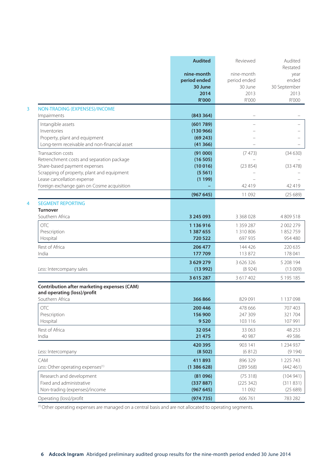|                                                                            | <b>Audited</b>                  | Reviewed                   | Audited<br>Restated           |
|----------------------------------------------------------------------------|---------------------------------|----------------------------|-------------------------------|
|                                                                            | nine-month<br>period ended      | nine-month<br>period ended | year<br>ended                 |
|                                                                            | 30 June<br>2014<br><b>R'000</b> | 30 June<br>2013<br>R'000   | 30 September<br>2013<br>R'000 |
| NON-TRADING (EXPENSES)/INCOME                                              |                                 |                            |                               |
| Impairments                                                                | (843364)                        |                            |                               |
| Intangible assets                                                          | (601789)                        |                            |                               |
| Inventories                                                                | (130966)                        |                            |                               |
| Property, plant and equipment                                              | (69243)                         |                            |                               |
| Long-term receivable and non-financial asset                               | (41366)                         |                            |                               |
| Transaction costs                                                          | (91000)                         | (7473)                     | (34630)                       |
| Retrenchment costs and separation package<br>Share-based payment expenses  | (16505)<br>(10016)              | (23854)                    | (33478)                       |
| Scrapping of property, plant and equipment                                 | (5561)                          |                            |                               |
| Lease cancellation expense                                                 | (1199)                          |                            |                               |
| Foreign exchange gain on Cosme acquisition                                 |                                 | 42 419                     | 42419                         |
|                                                                            | (967645)                        | 11 092                     | (25689)                       |
| <b>SEGMENT REPORTING</b>                                                   |                                 |                            |                               |
| Turnover                                                                   |                                 |                            |                               |
| Southern Africa                                                            | 3 245 093                       | 3 368 028                  | 4809518                       |
| OTC                                                                        | 1 136 916                       | 1 359 287                  | 2 002 279                     |
| Prescription                                                               | 1 387 655                       | 1 310 806                  | 1852759                       |
| Hospital                                                                   | 720 522                         | 697 935                    | 954 480                       |
| Rest of Africa<br>India                                                    | 206 477<br>177709               | 144 426<br>113 872         | 220 635<br>178 041            |
|                                                                            |                                 |                            |                               |
|                                                                            | 3 629 279<br>(13992)            | 3 626 326<br>(8924)        | 5 208 194                     |
| Less: Intercompany sales                                                   |                                 |                            | (13009)                       |
|                                                                            | 3615287                         | 3 617 402                  | 5 1 9 5 1 8 5                 |
| Contribution after marketing expenses (CAM)<br>and operating (loss)/profit |                                 |                            |                               |
| Southern Africa                                                            | 366866                          | 829 091                    | 1 137 098                     |
| OTC                                                                        | 200 446                         | 478 666                    | 707 403                       |
| Prescription                                                               | 156 900                         | 247 309                    | 321 704                       |
| Hospital                                                                   | 9520                            | 103 116                    | 107 991                       |
| Rest of Africa                                                             | 32054                           | 33 063                     | 48 253                        |
| India                                                                      | 21 475                          | 40 987                     | 49 5 8 6                      |
|                                                                            | 420 395                         | 903 141                    | 1 234 937                     |
| Less: Intercompany                                                         | (8502)                          | (6812)                     | (9194)                        |
| CAM                                                                        | 411893                          | 896 329                    | 1 2 2 5 7 4 3                 |
| Less: Other operating expenses <sup>(1)</sup>                              | (1386628)                       | (289 568)                  | (442461)                      |
| Research and development                                                   | (81096)                         | (75318)                    | (104941)                      |
| Fixed and administrative                                                   | (337887)                        | (225 342)                  | (311831)                      |
| Non-trading (expenses)/income                                              | (967645)                        | 11 0 9 2                   | (25689)                       |
| Operating (loss)/profit                                                    | (974735)                        | 606 761                    | 783 282                       |

 $(1)$  Other operating expenses are managed on a central basis and are not allocated to operating segments.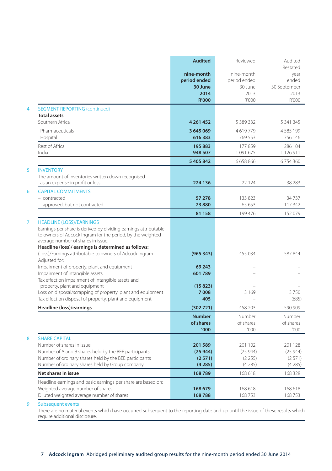|                                       |                                                                                                                                                                                                                         | <b>Audited</b>                                                | Reviewed                                               | Audited<br>Restated                            |
|---------------------------------------|-------------------------------------------------------------------------------------------------------------------------------------------------------------------------------------------------------------------------|---------------------------------------------------------------|--------------------------------------------------------|------------------------------------------------|
|                                       |                                                                                                                                                                                                                         | nine-month<br>period ended<br>30 June<br>2014<br><b>R'000</b> | nine-month<br>period ended<br>30 June<br>2013<br>R'000 | year<br>ended<br>30 September<br>2013<br>R'000 |
| $\overline{4}$<br><b>Total assets</b> | <b>SEGMENT REPORTING (continued)</b>                                                                                                                                                                                    |                                                               |                                                        |                                                |
|                                       | Southern Africa                                                                                                                                                                                                         | 4 2 6 1 4 5 2                                                 | 5 389 332                                              | 5 341 345                                      |
| Hospital                              | Pharmaceuticals                                                                                                                                                                                                         | 3 645 069<br>616383                                           | 4619779<br>769 553                                     | 4585199<br>756 146                             |
| Rest of Africa<br>India               |                                                                                                                                                                                                                         | 195 883<br>948 507                                            | 177859<br>1 091 675                                    | 286 104<br>1 1 2 6 9 1 1                       |
|                                       |                                                                                                                                                                                                                         | 5 405 842                                                     | 6 658 866                                              | 6754360                                        |
| <b>INVENTORY</b><br>5                 | The amount of inventories written down recognised<br>as an expense in profit or loss                                                                                                                                    | 224 136                                                       | 22 1 24                                                | 38 28 3                                        |
| 6<br>- contracted                     | <b>CAPITAL COMMITMENTS</b><br>- approved, but not contracted                                                                                                                                                            | 57 278<br>23880                                               | 133 823<br>65 653                                      | 34737<br>117 342                               |
|                                       |                                                                                                                                                                                                                         | 81 158                                                        | 199 476                                                | 152 079                                        |
| $\overline{7}$                        | <b>HEADLINE (LOSS)/EARNINGS</b><br>Earnings per share is derived by dividing earnings attributable<br>to owners of Adcock Ingram for the period, by the weighted<br>average number of shares in issue.                  |                                                               |                                                        |                                                |
| Adiusted for:                         | Headline (loss)/ earnings is determined as follows:<br>(Loss)/Earnings attributable to owners of Adcock Ingram                                                                                                          | (965343)                                                      | 455 034                                                | 587844                                         |
|                                       | Impairment of property, plant and equipment<br>Impairment of intangible assets<br>Tax effect on impairment of intangible assets and                                                                                     | 69 243<br>601789                                              |                                                        |                                                |
|                                       | property, plant and equipment<br>Loss on disposal/scrapping of property, plant and equipment<br>Tax effect on disposal of property, plant and equipment                                                                 | (15823)<br>7008<br>405                                        | 3 1 6 9                                                | 3750<br>(685)                                  |
|                                       | Headline (loss)/earnings                                                                                                                                                                                                | (302721)                                                      | 458 203                                                | 590 909                                        |
|                                       |                                                                                                                                                                                                                         | <b>Number</b><br>of shares<br>'000                            | Number<br>of shares<br>000'                            | Number<br>of shares<br>'000                    |
| 8                                     | <b>SHARE CAPITAL</b><br>Number of shares in issue<br>Number of A and B shares held by the BEE participants<br>Number of ordinary shares held by the BEE participants<br>Number of ordinary shares held by Group company | 201589<br>(25944)<br>(2571)<br>(4285)                         | 201 102<br>(25944)<br>(2255)<br>(4285)                 | 201 128<br>(25944)<br>(2571)<br>(4285)         |
|                                       | Net shares in issue                                                                                                                                                                                                     | 168789                                                        | 168 618                                                | 168 328                                        |
|                                       | Headline earnings and basic earnings per share are based on:<br>Weighted average number of shares<br>Diluted weighted average number of shares                                                                          | 168 679<br>168788                                             | 168 618<br>168753                                      | 168 618<br>168753                              |

#### 9 Subsequent events

There are no material events which have occurred subsequent to the reporting date and up until the issue of these results which require additional disclosure.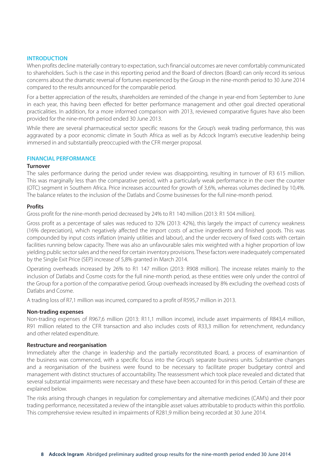#### **INTRODUCTION**

When profits decline materially contrary to expectation, such financial outcomes are never comfortably communicated to shareholders. Such is the case in this reporting period and the Board of directors (Board) can only record its serious concerns about the dramatic reversal of fortunes experienced by the Group in the nine-month period to 30 June 2014 compared to the results announced for the comparable period.

For a better appreciation of the results, shareholders are reminded of the change in year-end from September to June in each year, this having been effected for better performance management and other goal directed operational practicalities. In addition, for a more informed comparison with 2013, reviewed comparative figures have also been provided for the nine-month period ended 30 June 2013.

While there are several pharmaceutical sector specific reasons for the Group's weak trading performance, this was aggravated by a poor economic climate in South Africa as well as by Adcock Ingram's executive leadership being immersed in and substantially preoccupied with the CFR merger proposal.

#### **FINANCIAL PERFORMANCE**

#### **Turnover**

The sales performance during the period under review was disappointing, resulting in turnover of R3 615 million. This was marginally less than the comparative period, with a particularly weak performance in the over the counter (OTC) segment in Southern Africa. Price increases accounted for growth of 3,6%, whereas volumes declined by 10,4%. The balance relates to the inclusion of the Datlabs and Cosme businesses for the full nine-month period.

#### **Profits**

Gross profit for the nine-month period decreased by 24% to R1 140 million (2013: R1 504 million).

Gross profit as a percentage of sales was reduced to 32% (2013: 42%), this largely the impact of currency weakness (16% depreciation), which negatively affected the import costs of active ingredients and finished goods. This was compounded by input costs inflation (mainly utilities and labour), and the under recovery of fixed costs with certain facilities running below capacity. There was also an unfavourable sales mix weighted with a higher proportion of low yielding public sector sales and the need for certain inventory provisions. These factors were inadequately compensated by the Single Exit Price (SEP) increase of 5,8% granted in March 2014.

Operating overheads increased by 26% to R1 147 million (2013: R908 million). The increase relates mainly to the inclusion of Datlabs and Cosme costs for the full nine-month period, as these entities were only under the control of the Group for a portion of the comparative period. Group overheads increased by 8% excluding the overhead costs of Datlabs and Cosme.

A trading loss of R7,1 million was incurred, compared to a profit of R595,7 million in 2013.

#### **Non-trading expenses**

Non-trading expenses of R967,6 million (2013: R11,1 million income), include asset impairments of R843,4 million, R91 million related to the CFR transaction and also includes costs of R33,3 million for retrenchment, redundancy and other related expenditure.

#### **Restructure and reorganisation**

Immediately after the change in leadership and the partially reconstituted Board, a process of examinantion of the business was commenced, with a specific focus into the Group's separate business units. Substantive changes and a reorganisation of the business were found to be necessary to facilitate proper budgetary control and management with distinct structures of accountability. The reassessment which took place revealed and dictated that several substantial impairments were necessary and these have been accounted for in this period. Certain of these are explained below.

The risks arising through changes in regulation for complementary and alternative medicines (CAM's) and their poor trading performance, necessitated a review of the intangible asset values attributable to products within this portfolio. This comprehensive review resulted in impairments of R281,9 million being recorded at 30 June 2014.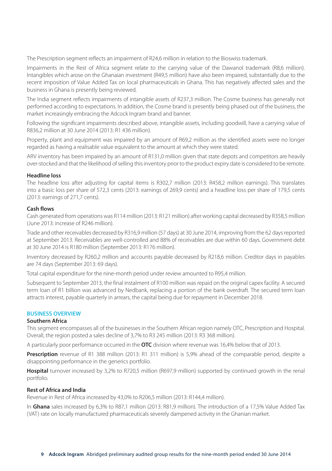The Prescription segment reflects an impairment of R24,6 million in relation to the Bioswiss trademark.

Impairments in the Rest of Africa segment relate to the carrying value of the Dawanol trademark (R8,6 million). Intangibles which arose on the Ghanaian investment (R49,5 million) have also been impaired, substantially due to the recent imposition of Value Added Tax on local pharmaceuticals in Ghana. This has negatively affected sales and the business in Ghana is presently being reviewed.

The India segment reflects impairments of intangible assets of R237,3 million. The Cosme business has generally not performed according to expectations. In addition, the Cosme brand is presently being phased out of the business, the market increasingly embracing the Adcock Ingram brand and banner.

Following the significant impairments described above, intangible assets, including goodwill, have a carrying value of R836,2 million at 30 June 2014 (2013: R1 436 million).

Property, plant and equipment was impaired by an amount of R69,2 million as the identified assets were no longer regarded as having a realisable value equivalent to the amount at which they were stated.

ARV inventory has been impaired by an amount of R131,0 million given that state depots and competitors are heavily over-stocked and that the likelihood of selling this inventory prior to the product expiry date is considered to be remote.

#### **Headline loss**

The headline loss after adjusting for capital items is R302,7 million (2013: R458,2 million earnings). This translates into a basic loss per share of 572,3 cents (2013: earnings of 269,9 cents) and a headline loss per share of 179,5 cents (2013: earnings of 271,7 cents).

#### **Cash flows**

Cash generated from operations was R114 million (2013: R121 million) after working capital decreased by R358,5 million (June 2013: increase of R246 million).

Trade and other receivables decreased by R316,9 million (57 days) at 30 June 2014, improving from the 62 days reported at September 2013. Receivables are well-controlled and 88% of receivables are due within 60 days. Government debt at 30 June 2014 is R180 million (September 2013: R176 million).

Inventory decreased by R260,2 million and accounts payable decreased by R218,6 million. Creditor days in payables are 74 days (September 2013: 69 days).

Total capital expenditure for the nine-month period under review amounted to R95,4 million.

Subsequent to September 2013, the final instalment of R100 million was repaid on the original capex facility. A secured term loan of R1 billion was advanced by Nedbank, replacing a portion of the bank overdraft. The secured term loan attracts interest, payable quarterly in arrears, the capital being due for repayment in December 2018.

#### **BUSINESS OVERVIEW**

#### **Southern Africa**

This segment encompasses all of the businesses in the Southern African region namely OTC, Prescription and Hospital. Overall, the region posted a sales decline of 3,7% to R3 245 million (2013: R3 368 million).

A particularly poor performance occurred in the **OTC** division where revenue was 16,4% below that of 2013.

Prescription revenue of R1 388 million (2013: R1 311 million) is 5,9% ahead of the comparable period, despite a disappointing performance in the generics portfolio.

**Hospital** turnover increased by 3,2% to R720,5 million (R697,9 million) supported by continued growth in the renal portfolio.

#### **Rest of Africa and India**

Revenue in Rest of Africa increased by 43,0% to R206,5 million (2013: R144,4 million).

In **Ghana** sales increased by 6,3% to R87,1 million (2013: R81,9 million). The introduction of a 17,5% Value Added Tax (VAT) rate on locally manufactured pharmaceuticals severely dampened activity in the Ghanian market.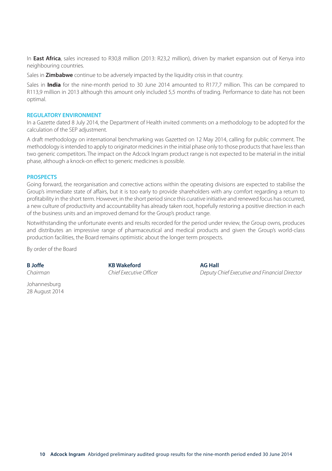In **East Africa**, sales increased to R30,8 million (2013: R23,2 million), driven by market expansion out of Kenya into neighbouring countries.

Sales in **Zimbabwe** continue to be adversely impacted by the liquidity crisis in that country.

Sales in **India** for the nine-month period to 30 June 2014 amounted to R177,7 million. This can be compared to R113,9 million in 2013 although this amount only included 5,5 months of trading. Performance to date has not been optimal.

#### **REGULATORY ENVIRONMENT**

In a Gazette dated 8 July 2014, the Department of Health invited comments on a methodology to be adopted for the calculation of the SEP adjustment.

A draft methodology on international benchmarking was Gazetted on 12 May 2014, calling for public comment. The methodology is intended to apply to originator medicines in the initial phase only to those products that have less than two generic competitors. The impact on the Adcock Ingram product range is not expected to be material in the initial phase, although a knock-on effect to generic medicines is possible.

#### **PROSPECTS**

Going forward, the reorganisation and corrective actions within the operating divisions are expected to stabilise the Group's immediate state of affairs, but it is too early to provide shareholders with any comfort regarding a return to profitability in the short term. However, in the short period since this curative initiative and renewed focus has occurred, a new culture of productivity and accountability has already taken root, hopefully restoring a positive direction in each of the business units and an improved demand for the Group's product range.

Notwithstanding the unfortunate events and results recorded for the period under review, the Group owns, produces and distributes an impressive range of pharmaceutical and medical products and given the Group's world-class production facilities, the Board remains optimistic about the longer term prospects.

By order of the Board

Johannesburg 28 August 2014

**B Joffe KB Wakeford AG Hall**

Chairman Chief Executive Officer Deputy Chief Executive and Financial Director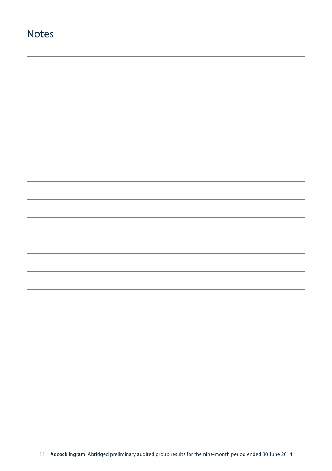| <b>Notes</b> |  |
|--------------|--|
|              |  |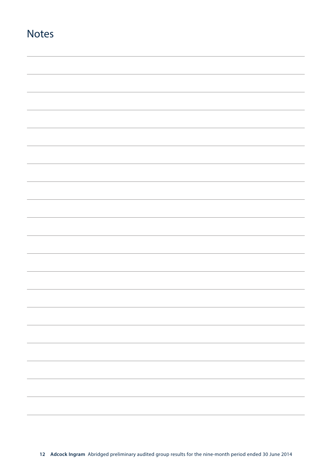| <b>Notes</b> |  |
|--------------|--|
|              |  |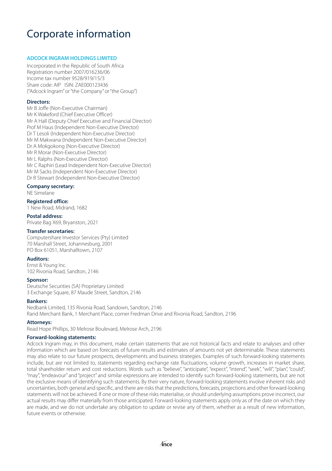### Corporate information

#### **ADCOCK INGRAM HOLDINGS LIMITED**

Incorporated in the Republic of South Africa Registration number 2007/016236/06 Income tax number 9528/919/15/3 Share code: AIP ISIN: ZAE000123436 ("Adcock Ingram" or "the Company" or "the Group")

#### **Directors:**

Mr B Joffe (Non-Executive Chairman) Mr K Wakeford (Chief Executive Officer) Mr A Hall (Deputy Chief Executive and Financial Director) Prof M Haus (Independent Non-Executive Director) Dr T Lesoli (Independent Non-Executive Director) Mr M Makwana (Independent Non-Executive Director) Dr A Mokgokong (Non-Executive Director) Mr R Morar (Non-Executive Director) Mr L Ralphs (Non-Executive Director) Mr C Raphiri (Lead Independent Non-Executive Director) Mr M Sacks (Independent Non-Executive Director) Dr R Stewart (Independent Non-Executive Director)

#### **Company secretary:**

NE Simelane

#### **Registered office:**

1 New Road, Midrand, 1682

#### **Postal address:**

Private Bag X69, Bryanston, 2021

#### **Transfer secretaries:**

Computershare Investor Services (Pty) Limited 70 Marshall Street, Johannesburg, 2001 PO Box 61051, Marshalltown, 2107

#### **Auditors:**

Ernst & Young Inc. 102 Rivonia Road, Sandton, 2146

#### **Sponsor:**

Deutsche Securities (SA) Proprietary Limited 3 Exchange Square, 87 Maude Street, Sandton, 2146

#### **Bankers:**

Nedbank Limited, 135 Rivonia Road, Sandown, Sandton, 2146 Rand Merchant Bank, 1 Merchant Place, corner Fredman Drive and Rivonia Road, Sandton, 2196

#### **Attorneys:**

Read Hope Phillips, 30 Melrose Boulevard, Melrose Arch, 2196

#### **Forward-looking statements:**

Adcock Ingram may, in this document, make certain statements that are not historical facts and relate to analyses and other information which are based on forecasts of future results and estimates of amounts not yet determinable. These statements may also relate to our future prospects, developments and business strategies. Examples of such forward-looking statements include, but are not limited to, statements regarding exchange rate fluctuations, volume growth, increases in market share, total shareholder return and cost reductions. Words such as "believe", "anticipate", "expect", "intend", "seek", "will", "plan", "could", "may", "endeavour" and "project" and similar expressions are intended to identify such forward-looking statements, but are not the exclusive means of identifying such statements. By their very nature, forward-looking statements involve inherent risks and uncertainties, both general and specific, and there are risks that the predictions, forecasts, projections and other forward-looking statements will not be achieved. If one or more of these risks materialise, or should underlying assumptions prove incorrect, our actual results may differ materially from those anticipated. Forward-looking statements apply only as of the date on which they are made, and we do not undertake any obligation to update or revise any of them, whether as a result of new information, future events or otherwise.